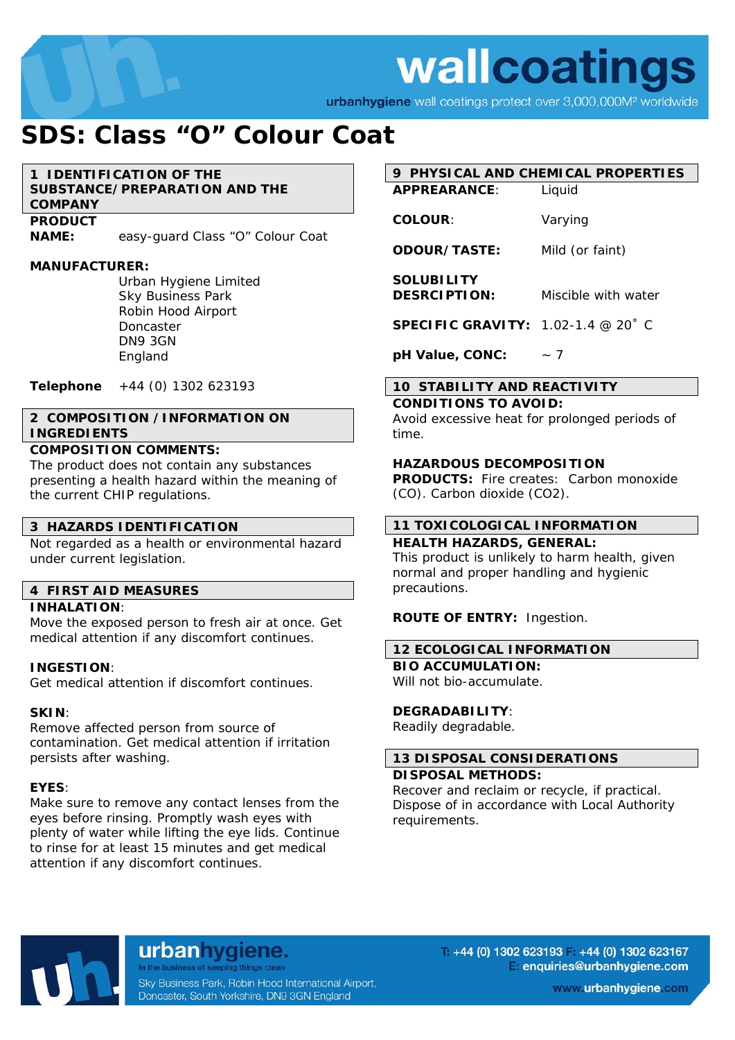# wallcoatings

urbanhygiene wall coatings protect over 3,000,000M<sup>2</sup> worldwide

# **SDS: Class "O" Colour Coat**

**1 IDENTIFICATION OF THE** 

**SUBSTANCE/PREPARATION AND THE COMPANY** 

### **PRODUCT**

**NAME:** easy-guard Class "O" Colour Coat

#### **MANUFACTURER:**

Urban Hygiene Limited Sky Business Park Robin Hood Airport Doncaster DN9 3GN England

**Telephone** +44 (0) 1302 623193

#### **2 COMPOSITION /INFORMATION ON INGREDIENTS**

#### **COMPOSITION COMMENTS:**

The product does not contain any substances presenting a health hazard within the meaning of the current CHIP regulations.

#### **3 HAZARDS IDENTIFICATION**

Not regarded as a health or environmental hazard under current legislation.

#### **4 FIRST AID MEASURES**

#### **INHALATION**:

Move the exposed person to fresh air at once. Get medical attention if any discomfort continues.

#### **INGESTION**:

Get medical attention if discomfort continues.

#### **SKIN**:

Remove affected person from source of contamination. Get medical attention if irritation persists after washing.

#### **EYES**:

Make sure to remove any contact lenses from the eyes before rinsing. Promptly wash eyes with plenty of water while lifting the eye lids. Continue to rinse for at least 15 minutes and get medical attention if any discomfort continues.

#### **9 PHYSICAL AND CHEMICAL PROPERTIES APPREARANCE**: Liquid

**COLOUR**: Varying

**ODOUR/TASTE:** Mild (or faint)

**SOLUBILITY DESRCIPTION:** Miscible with water

**SPECIFIC GRAVITY:** 1.02-1.4 @ 20˚ C

**pH Value, CONC:** ~ 7

#### **10 STABILITY AND REACTIVITY**

#### **CONDITIONS TO AVOID:**

Avoid excessive heat for prolonged periods of time.

#### **HAZARDOUS DECOMPOSITION**

**PRODUCTS:** Fire creates: Carbon monoxide (CO). Carbon dioxide (CO2).

#### **11 TOXICOLOGICAL INFORMATION**

**HEALTH HAZARDS, GENERAL:**  This product is unlikely to harm health, given normal and proper handling and hygienic precautions.

#### **ROUTE OF ENTRY:** Ingestion.

#### **12 ECOLOGICAL INFORMATION**

**BIO ACCUMULATION:** 

Will not bio-accumulate.

#### **DEGRADABILITY**:

Readily degradable.

#### **13 DISPOSAL CONSIDERATIONS DISPOSAL METHODS:**

Recover and reclaim or recycle, if practical. Dispose of in accordance with Local Authority requirements.



urbanhygiene. In the business of keeping things clean

Sky Business Park, Robin Hood International Airport, Doncaster, South Yorkshire, DN9 3GN England

 $+44$  (0) 1302 623193 +44 (0) 1302 623167 enquiries@urbanhygiene.com